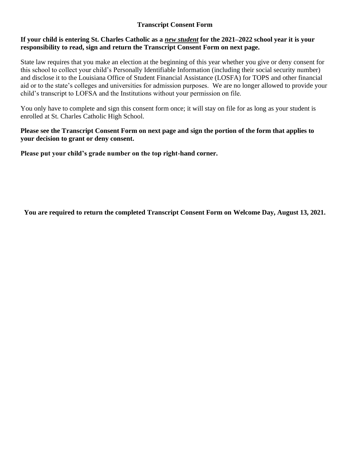# **Transcript Consent Form**

## **If your child is entering St. Charles Catholic as a** *new student* **for the 2021–2022 school year it is your responsibility to read, sign and return the Transcript Consent Form on next page.**

State law requires that you make an election at the beginning of this year whether you give or deny consent for this school to collect your child's Personally Identifiable Information (including their social security number) and disclose it to the Louisiana Office of Student Financial Assistance (LOSFA) for TOPS and other financial aid or to the state's colleges and universities for admission purposes. We are no longer allowed to provide your child's transcript to LOFSA and the Institutions without your permission on file.

You only have to complete and sign this consent form once; it will stay on file for as long as your student is enrolled at St. Charles Catholic High School.

### **Please see the Transcript Consent Form on next page and sign the portion of the form that applies to your decision to grant or deny consent.**

**Please put your child's grade number on the top right-hand corner.**

**You are required to return the completed Transcript Consent Form on Welcome Day, August 13, 2021.**